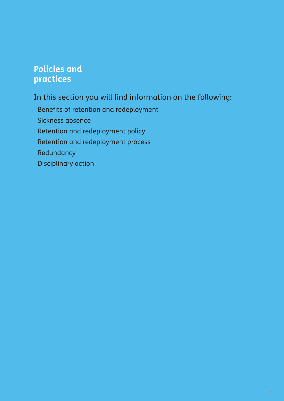# **Policies and practices**

In this section you will find information on the following:

Benefits of retention and redeployment Sickness absence Retention and redeployment policy Retention and redeployment process Redundancy Disciplinary action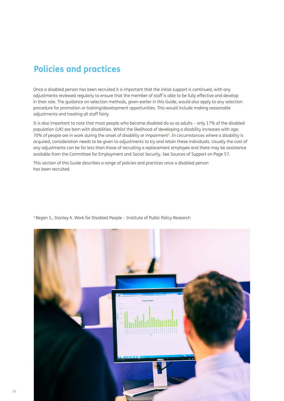# **Policies and practices**

Once a disabled person has been recruited it is important that the initial support is continued, with any adjustments reviewed regularly to ensure that the member of staff is able to be fully effective and develop in their role. The guidance on selection methods, given earlier in this Guide, would also apply to any selection procedure for promotion or training/development opportunities. This would include making reasonable adjustments and treating all staff fairly.

It is also important to note that most people who become disabled do so as adults – only 17% of the disabled population (UK) are born with disabilities. Whilst the likelihood of developing a disability increases with age; 70% of people are in work during the onset of disability or impairment<sup>5</sup>. In circumstances where a disability is acquired, consideration needs to be given to adjustments to try and retain these individuals. Usually the cost of any adjustments can be far less than those of recruiting a replacement employee and there may be assistance available from the Committee for Employment and Social Security. See Sources of Support on Page 57.

This section of this Guide describes a range of policies and practices once a disabled person has been recruited.



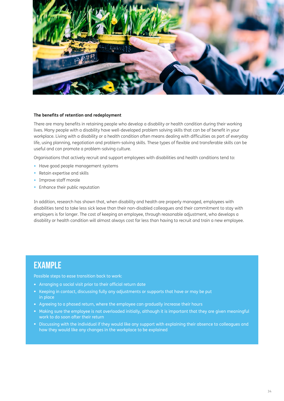

#### **The benefits of retention and redeployment**

There are many benefits in retaining people who develop a disability or health condition during their working lives. Many people with a disability have well-developed problem solving skills that can be of benefit in your workplace. Living with a disability or a health condition often means dealing with difficulties as part of everyday life, using planning, negotiation and problem-solving skills. These types of flexible and transferable skills can be useful and can promote a problem-solving culture.

Organisations that actively recruit and support employees with disabilities and health conditions tend to:

- Have good people management systems
- Retain expertise and skills
- Improve staff morale
- Enhance their public reputation

In addition, research has shown that, when disability and health are properly managed, employees with disabilities tend to take less sick leave than their non-disabled colleagues and their commitment to stay with employers is for longer. The cost of keeping an employee, through reasonable adjustment, who develops a disability or health condition will almost always cost far less than having to recruit and train a new employee.

### EXAMPLE

Possible steps to ease transition back to work:

- Arranging a social visit prior to their official return date
- Keeping in contact, discussing fully any adjustments or supports that have or may be put in place
- Agreeing to a phased return, where the employee can gradually increase their hours
- Making sure the employee is not overloaded initially, although it is important that they are given meaningful work to do soon after their return
- Discussing with the individual if they would like any support with explaining their absence to colleagues and how they would like any changes in the workplace to be explained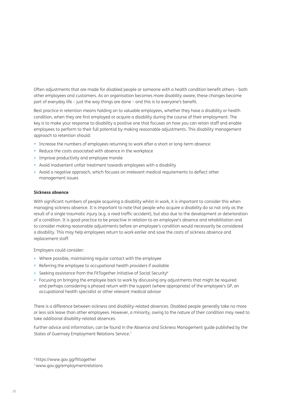Often adjustments that are made for disabled people or someone with a health condition benefit others – both other employees and customers. As an organisation becomes more disability aware, these changes become part of everyday life – just the way things are done – and this is to everyone's benefit.

Best practice in retention means holding on to valuable employees, whether they have a disability or health condition, when they are first employed or acquire a disability during the course of their employment. The key is to make your response to disability a positive one that focuses on how you can retain staff and enable employees to perform to their full potential by making reasonable adjustments. This disability management approach to retention should:

- Increase the numbers of employees returning to work after a short or long-term absence
- Reduce the costs associated with absence in the workplace
- Improve productivity and employee morale
- Avoid inadvertent unfair treatment towards employees with a disability
- Avoid a negative approach, which focuses on irrelevant medical requirements to deflect other management issues

#### **Sickness absence**

With significant numbers of people acquiring a disability whilst in work, it is important to consider this when managing sickness absence. It is important to note that people who acquire a disability do so not only as the result of a single traumatic injury (e.g. a road traffic accident), but also due to the development or deterioration of a condition. It is good practice to be proactive in relation to an employee's absence and rehabilitation and to consider making reasonable adjustments before an employee's condition would necessarily be considered a disability. This may help employees return to work earlier and save the costs of sickness absence and replacement staff.

Employers could consider:

- Where possible, maintaining regular contact with the employee
- Referring the employee to occupational health providers if available
- Seeking assistance from the FitTogether initiative of Social Security<sup>6</sup>
- Focusing on bringing the employee back to work by discussing any adjustments that might be required and perhaps considering a phased return with the support (where appropriate) of the employee's GP, an occupational health specialist or other relevant medical advisor

There is a difference between sickness and disability-related absences. Disabled people generally take no more or less sick leave than other employees. However, a minority, owing to the nature of their condition may need to take additional disability-related absences.

Further advice and information, can be found in the Absence and Sickness Management guide published by the States of Guernsey Employment Relations Service.7

6 https://www.gov.gg/fittogether

7 www.gov.gg/employmentrelations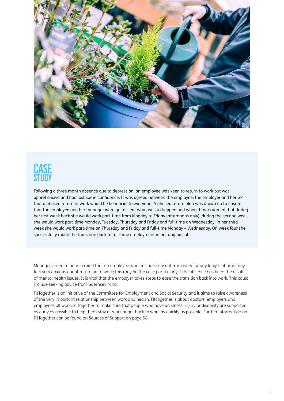

Following a three month absence due to depression, an employee was keen to return to work but was apprehensive and had lost some confidence. It was agreed between the employee, the employer and her GP that a phased return to work would be beneficial to everyone. A phased return plan was drawn up to ensure that the employee and her manager were quite clear what was to happen and when. It was agreed that during her first week back she would work part-time from Monday to Friday (afternoons only): during the second week she would work part-time Monday, Tuesday, Thursday and Friday and full-time on Wednesday; in her third week she would work part-time on Thursday and Friday and full-time Monday – Wednesday. On week four she successfully made the transition back to full-time employment in her original job.

Managers need to bear in mind that an employee who has been absent from work for any length of time may feel very anxious about returning to work; this may be the case particularly if the absence has been the result of mental health issues. It is vital that the employer takes steps to ease the transition back into work. This could include seeking advice from Guernsey Mind.

FitTogether is an initiative of the Committee for Employment and Social Security and it aims to raise awareness of the very important relationship between work and health. FitTogether is about doctors, employers and employees all working together to make sure that people who have an illness, injury or disability are supported as early as possible to help them stay at work or get back to work as quickly as possible. Further information on FitTogether can be found on Sources of Support on page 58.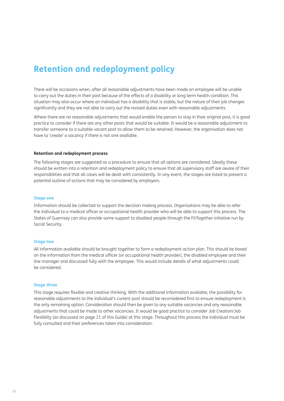# **Retention and redeployment policy**

There will be occasions when, after all reasonable adjustments have been made an employee will be unable to carry out the duties in their post because of the effects of a disability or long term health condition. This situation may also occur where an individual has a disability that is stable, but the nature of their job changes significantly and they are not able to carry out the revised duties even with reasonable adjustments.

Where there are no reasonable adjustments that would enable the person to stay in their original post, it is good practice to consider if there are any other posts that would be suitable. It would be a reasonable adjustment to transfer someone to a suitable vacant post to allow them to be retained. However, the organisation does not have to 'create' a vacancy if there is not one available.

#### **Retention and redeployment process**

The following stages are suggested as a procedure to ensure that all options are considered. Ideally these should be written into a retention and redeployment policy to ensure that all supervisory staff are aware of their responsibilities and that all cases will be dealt with consistently. In any event, the stages are listed to present a potential outline of actions that may be considered by employers.

#### **Stage one**

Information should be collected to support the decision making process. Organisations may be able to refer the individual to a medical officer or occupational health provider who will be able to support this process. The States of Guernsey can also provide some support to disabled people through the FitTogether initiative run by Social Security.

#### **Stage two**

All information available should be brought together to form a redeployment action plan. This should be based on the information from the medical officer (or occupational health provider), the disabled employee and their line manager and discussed fully with the employee. This would include details of what adjustments could be considered.

#### **Stage three**

This stage requires flexible and creative thinking. With the additional information available, the possibility for reasonable adjustments to the individual's current post should be reconsidered first to ensure redeployment is the only remaining option. Consideration should then be given to any suitable vacancies and any reasonable adjustments that could be made to other vacancies. It would be good practice to consider Job Creation/Job Flexibility (as discussed on page 21 of this Guide) at this stage. Throughout this process the individual must be fully consulted and their preferences taken into consideration.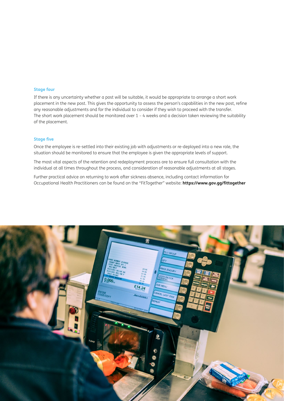#### **Stage four**

If there is any uncertainty whether a post will be suitable, it would be appropriate to arrange a short work placement in the new post. This gives the opportunity to assess the person's capabilities in the new post, refine any reasonable adjustments and for the individual to consider if they wish to proceed with the transfer. The short work placement should be monitored over 1 – 4 weeks and a decision taken reviewing the suitability of the placement.

### **Stage five**

Once the employee is re-settled into their existing job with adjustments or re-deployed into a new role, the situation should be monitored to ensure that the employee is given the appropriate levels of support.

The most vital aspects of the retention and redeployment process are to ensure full consultation with the individual at all times throughout the process, and consideration of reasonable adjustments at all stages.

Further practical advice on returning to work after sickness absence, including contact information for Occupational Health Practitioners can be found on the "FitTogether" website: **https://www.gov.gg/fittogether**

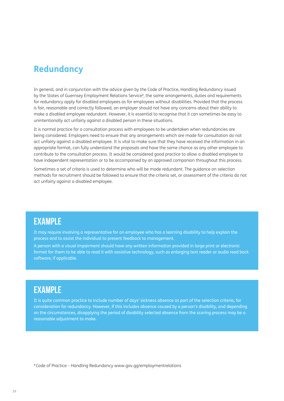## **Redundancy**

In general, and in conjunction with the advice given by the Code of Practice, Handling Redundancy issued by the States of Guernsey Employment Relations Service<sup>8</sup>, the same arrangements, duties and requirements for redundancy apply for disabled employees as for employees without disabilities. Provided that the process is fair, reasonable and correctly followed, an employer should not have any concerns about their ability to make a disabled employee redundant. However, it is essential to recognise that it can sometimes be easy to unintentionally act unfairly against a disabled person in these situations.

It is normal practice for a consultation process with employees to be undertaken when redundancies are being considered. Employers need to ensure that any arrangements which are made for consultation do not act unfairly against a disabled employee. It is vital to make sure that they have received the information in an appropriate format, can fully understand the proposals and have the same chance as any other employee to contribute to the consultation process. It would be considered good practice to allow a disabled employee to have independent representation or to be accompanied by an approved companion throughout this process.

Sometimes a set of criteria is used to determine who will be made redundant. The guidance on selection methods for recruitment should be followed to ensure that the criteria set, or assessment of the criteria do not act unfairly against a disabled employee.

### EXAMPLE

It may require involving a representative for an employee who has a learning disability to help explain the process and to assist the individual to present feedback to management.

A person with a visual impairment should have any written information provided in large print or electronic format for them to be able to read it with assistive technology, such as enlarging text reader or audio read back software, if applicable.

### EXAMPLE

It is quite common practice to include number of days' sickness absence as part of the selection criteria, for consideration for redundancy. However, if this includes absence caused by a person's disability, and depending on the circumstances, disapplying the period of disability selected absence from the scoring process may be a reasonable adjustment to make.

8 Code of Practice – Handling Redundancy www.gov.gg/employmentrelations